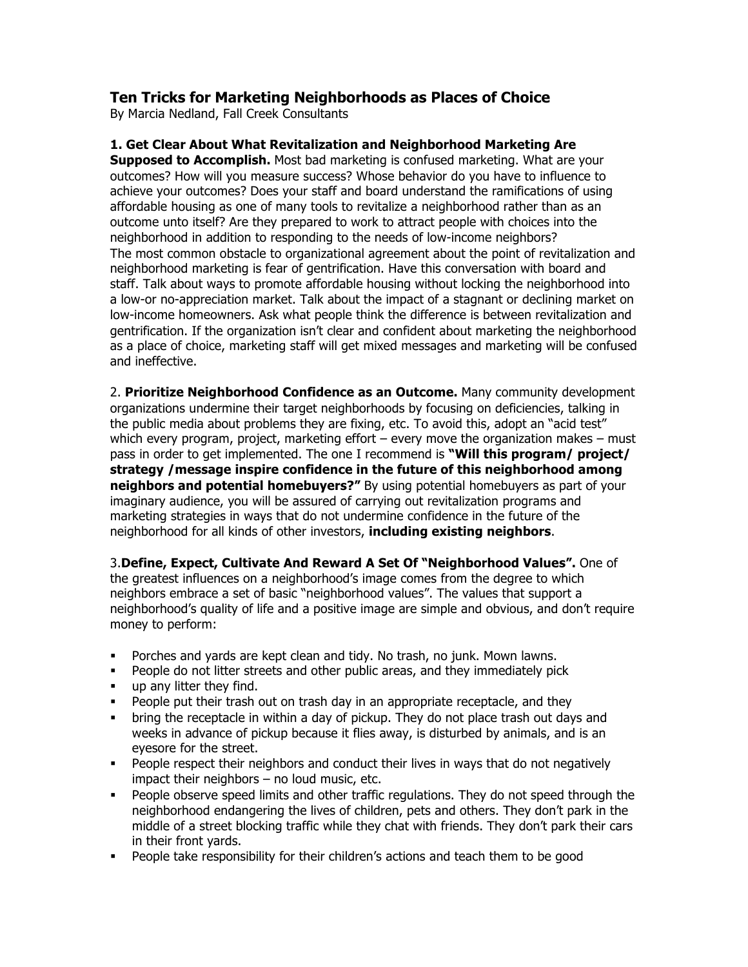## **Ten Tricks for Marketing Neighborhoods as Places of Choice**

By Marcia Nedland, Fall Creek Consultants

## **1. Get Clear About What Revitalization and Neighborhood Marketing Are**

**Supposed to Accomplish.** Most bad marketing is confused marketing. What are your outcomes? How will you measure success? Whose behavior do you have to influence to achieve your outcomes? Does your staff and board understand the ramifications of using affordable housing as one of many tools to revitalize a neighborhood rather than as an outcome unto itself? Are they prepared to work to attract people with choices into the neighborhood in addition to responding to the needs of low-income neighbors? The most common obstacle to organizational agreement about the point of revitalization and neighborhood marketing is fear of gentrification. Have this conversation with board and staff. Talk about ways to promote affordable housing without locking the neighborhood into a low-or no-appreciation market. Talk about the impact of a stagnant or declining market on low-income homeowners. Ask what people think the difference is between revitalization and gentrification. If the organization isn't clear and confident about marketing the neighborhood as a place of choice, marketing staff will get mixed messages and marketing will be confused and ineffective.

2. **Prioritize Neighborhood Confidence as an Outcome.** Many community development organizations undermine their target neighborhoods by focusing on deficiencies, talking in the public media about problems they are fixing, etc. To avoid this, adopt an "acid test" which every program, project, marketing effort – every move the organization makes – must pass in order to get implemented. The one I recommend is **"Will this program/ project/ strategy /message inspire confidence in the future of this neighborhood among neighbors and potential homebuyers?"** By using potential homebuyers as part of your imaginary audience, you will be assured of carrying out revitalization programs and marketing strategies in ways that do not undermine confidence in the future of the neighborhood for all kinds of other investors, **including existing neighbors**.

3.**Define, Expect, Cultivate And Reward A Set Of "Neighborhood Values".** One of the greatest influences on a neighborhood's image comes from the degree to which neighbors embrace a set of basic "neighborhood values". The values that support a neighborhood's quality of life and a positive image are simple and obvious, and don't require money to perform:

- Porches and yards are kept clean and tidy. No trash, no junk. Mown lawns.
- People do not litter streets and other public areas, and they immediately pick
- up any litter they find.
- People put their trash out on trash day in an appropriate receptacle, and they
- bring the receptacle in within a day of pickup. They do not place trash out days and weeks in advance of pickup because it flies away, is disturbed by animals, and is an eyesore for the street.
- People respect their neighbors and conduct their lives in ways that do not negatively impact their neighbors – no loud music, etc.
- People observe speed limits and other traffic regulations. They do not speed through the neighborhood endangering the lives of children, pets and others. They don't park in the middle of a street blocking traffic while they chat with friends. They don't park their cars in their front yards.
- People take responsibility for their children's actions and teach them to be good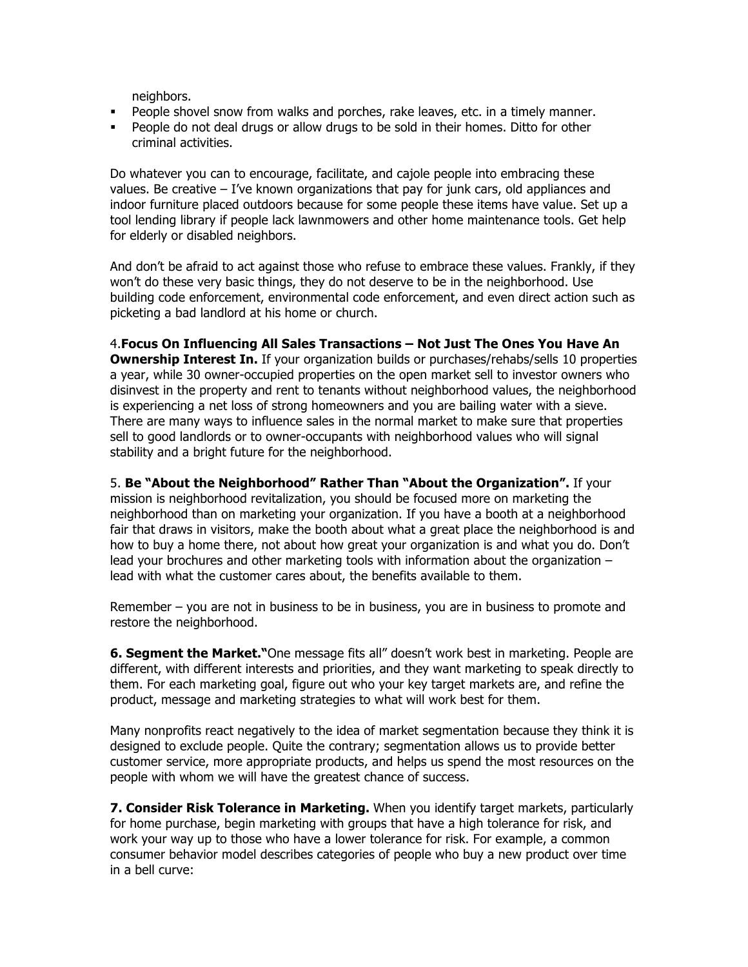neighbors.

- People shovel snow from walks and porches, rake leaves, etc. in a timely manner.
- **People do not deal drugs or allow drugs to be sold in their homes. Ditto for other** criminal activities.

Do whatever you can to encourage, facilitate, and cajole people into embracing these values. Be creative – I've known organizations that pay for junk cars, old appliances and indoor furniture placed outdoors because for some people these items have value. Set up a tool lending library if people lack lawnmowers and other home maintenance tools. Get help for elderly or disabled neighbors.

And don't be afraid to act against those who refuse to embrace these values. Frankly, if they won't do these very basic things, they do not deserve to be in the neighborhood. Use building code enforcement, environmental code enforcement, and even direct action such as picketing a bad landlord at his home or church.

4.**Focus On Influencing All Sales Transactions – Not Just The Ones You Have An Ownership Interest In.** If your organization builds or purchases/rehabs/sells 10 properties a year, while 30 owner-occupied properties on the open market sell to investor owners who disinvest in the property and rent to tenants without neighborhood values, the neighborhood is experiencing a net loss of strong homeowners and you are bailing water with a sieve. There are many ways to influence sales in the normal market to make sure that properties sell to good landlords or to owner-occupants with neighborhood values who will signal stability and a bright future for the neighborhood.

5. **Be "About the Neighborhood" Rather Than "About the Organization".** If your mission is neighborhood revitalization, you should be focused more on marketing the neighborhood than on marketing your organization. If you have a booth at a neighborhood fair that draws in visitors, make the booth about what a great place the neighborhood is and how to buy a home there, not about how great your organization is and what you do. Don't lead your brochures and other marketing tools with information about the organization – lead with what the customer cares about, the benefits available to them.

Remember – you are not in business to be in business, you are in business to promote and restore the neighborhood.

**6. Segment the Market."**One message fits all" doesn't work best in marketing. People are different, with different interests and priorities, and they want marketing to speak directly to them. For each marketing goal, figure out who your key target markets are, and refine the product, message and marketing strategies to what will work best for them.

Many nonprofits react negatively to the idea of market segmentation because they think it is designed to exclude people. Quite the contrary; segmentation allows us to provide better customer service, more appropriate products, and helps us spend the most resources on the people with whom we will have the greatest chance of success.

**7. Consider Risk Tolerance in Marketing.** When you identify target markets, particularly for home purchase, begin marketing with groups that have a high tolerance for risk, and work your way up to those who have a lower tolerance for risk. For example, a common consumer behavior model describes categories of people who buy a new product over time in a bell curve: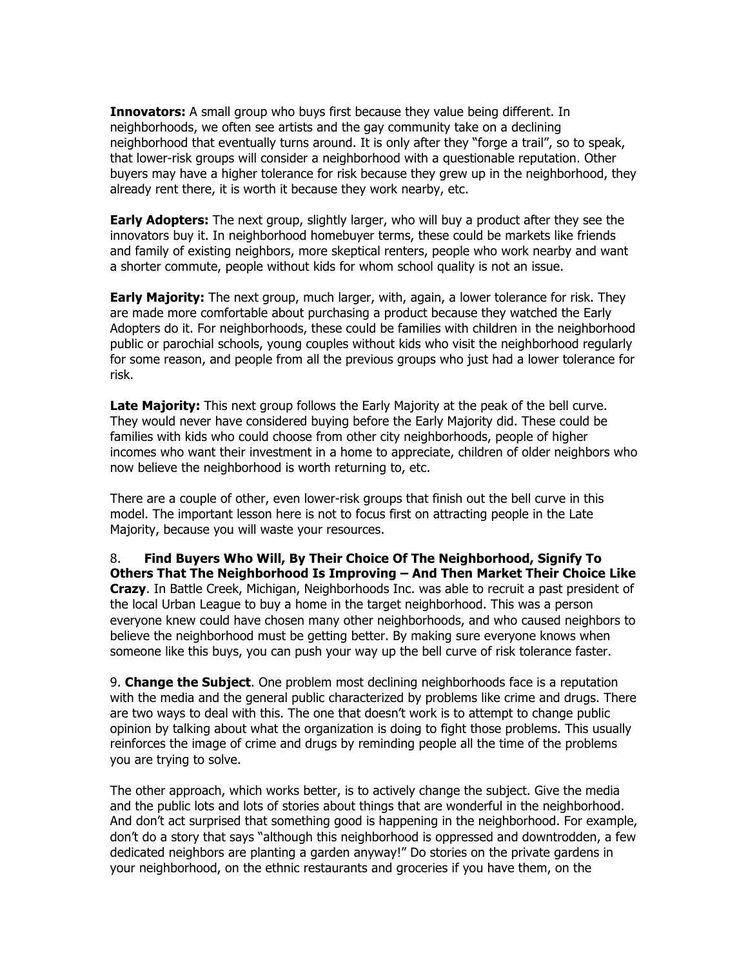**Innovators:** A small group who buys first because they value being different. In neighborhoods, we often see artists and the gay community take on a declining neighborhood that eventually turns around. It is only after they "forge a trail", so to speak, that lower-risk groups will consider a neighborhood with a questionable reputation. Other buyers may have a higher tolerance for risk because they grew up in the neighborhood, they already rent there, it is worth it because they work nearby, etc.

**Early Adopters:** The next group, slightly larger, who will buy a product after they see the innovators buy it. In neighborhood homebuyer terms, these could be markets like friends and family of existing neighbors, more skeptical renters, people who work nearby and want a shorter commute, people without kids for whom school quality is not an issue.

**Early Majority:** The next group, much larger, with, again, a lower tolerance for risk. They are made more comfortable about purchasing a product because they watched the Early Adopters do it. For neighborhoods, these could be families with children in the neighborhood public or parochial schools, young couples without kids who visit the neighborhood regularly for some reason, and people from all the previous groups who just had a lower tolerance for risk.

**Late Majority:** This next group follows the Early Majority at the peak of the bell curve. They would never have considered buying before the Early Majority did. These could be families with kids who could choose from other city neighborhoods, people of higher incomes who want their investment in a home to appreciate, children of older neighbors who now believe the neighborhood is worth returning to, etc.

There are a couple of other, even lower-risk groups that finish out the bell curve in this model. The important lesson here is not to focus first on attracting people in the Late Majority, because you will waste your resources.

8. **Find Buyers Who Will, By Their Choice Of The Neighborhood, Signify To Others That The Neighborhood Is Improving – And Then Market Their Choice Like Crazy**. In Battle Creek, Michigan, Neighborhoods Inc. was able to recruit a past president of the local Urban League to buy a home in the target neighborhood. This was a person everyone knew could have chosen many other neighborhoods, and who caused neighbors to believe the neighborhood must be getting better. By making sure everyone knows when someone like this buys, you can push your way up the bell curve of risk tolerance faster.

9. **Change the Subject**. One problem most declining neighborhoods face is a reputation with the media and the general public characterized by problems like crime and drugs. There are two ways to deal with this. The one that doesn't work is to attempt to change public opinion by talking about what the organization is doing to fight those problems. This usually reinforces the image of crime and drugs by reminding people all the time of the problems you are trying to solve.

The other approach, which works better, is to actively change the subject. Give the media and the public lots and lots of stories about things that are wonderful in the neighborhood. And don't act surprised that something good is happening in the neighborhood. For example, don't do a story that says "although this neighborhood is oppressed and downtrodden, a few dedicated neighbors are planting a garden anyway!" Do stories on the private gardens in your neighborhood, on the ethnic restaurants and groceries if you have them, on the